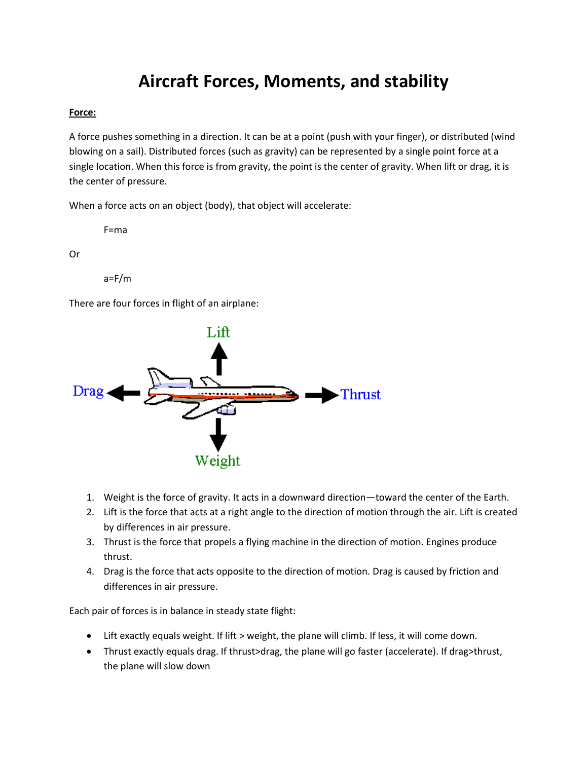## **Aircraft Forces, Moments, and stability**

## **Force:**

A force pushes something in a direction. It can be at a point (push with your finger), or distributed (wind blowing on a sail). Distributed forces (such as gravity) can be represented by a single point force at a single location. When this force is from gravity, the point is the center of gravity. When lift or drag, it is the center of pressure.

When a force acts on an object (body), that object will accelerate:

F=ma

Or

a=F/m

There are four forces in flight of an airplane:



- 1. Weight is the force of gravity. It acts in a downward direction—toward the center of the Earth.
- 2. Lift is the force that acts at a right angle to the direction of motion through the air. Lift is created by differences in air pressure.
- 3. Thrust is the force that propels a flying machine in the direction of motion. Engines produce thrust.
- 4. Drag is the force that acts opposite to the direction of motion. Drag is caused by friction and differences in air pressure.

Each pair of forces is in balance in steady state flight:

- Lift exactly equals weight. If lift > weight, the plane will climb. If less, it will come down.
- Thrust exactly equals drag. If thrust>drag, the plane will go faster (accelerate). If drag>thrust, the plane will slow down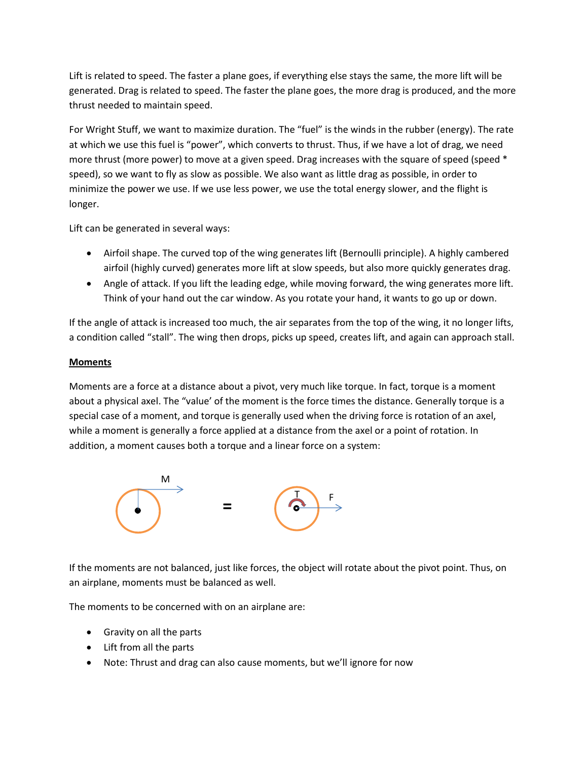Lift is related to speed. The faster a plane goes, if everything else stays the same, the more lift will be generated. Drag is related to speed. The faster the plane goes, the more drag is produced, and the more thrust needed to maintain speed.

For Wright Stuff, we want to maximize duration. The "fuel" is the winds in the rubber (energy). The rate at which we use this fuel is "power", which converts to thrust. Thus, if we have a lot of drag, we need more thrust (more power) to move at a given speed. Drag increases with the square of speed (speed \* speed), so we want to fly as slow as possible. We also want as little drag as possible, in order to minimize the power we use. If we use less power, we use the total energy slower, and the flight is longer.

Lift can be generated in several ways:

- Airfoil shape. The curved top of the wing generates lift (Bernoulli principle). A highly cambered airfoil (highly curved) generates more lift at slow speeds, but also more quickly generates drag.
- Angle of attack. If you lift the leading edge, while moving forward, the wing generates more lift. Think of your hand out the car window. As you rotate your hand, it wants to go up or down.

If the angle of attack is increased too much, the air separates from the top of the wing, it no longer lifts, a condition called "stall". The wing then drops, picks up speed, creates lift, and again can approach stall.

## **Moments**

Moments are a force at a distance about a pivot, very much like torque. In fact, torque is a moment about a physical axel. The "value' of the moment is the force times the distance. Generally torque is a special case of a moment, and torque is generally used when the driving force is rotation of an axel, while a moment is generally a force applied at a distance from the axel or a point of rotation. In addition, a moment causes both a torque and a linear force on a system:



If the moments are not balanced, just like forces, the object will rotate about the pivot point. Thus, on an airplane, moments must be balanced as well.

The moments to be concerned with on an airplane are:

- Gravity on all the parts
- Lift from all the parts
- Note: Thrust and drag can also cause moments, but we'll ignore for now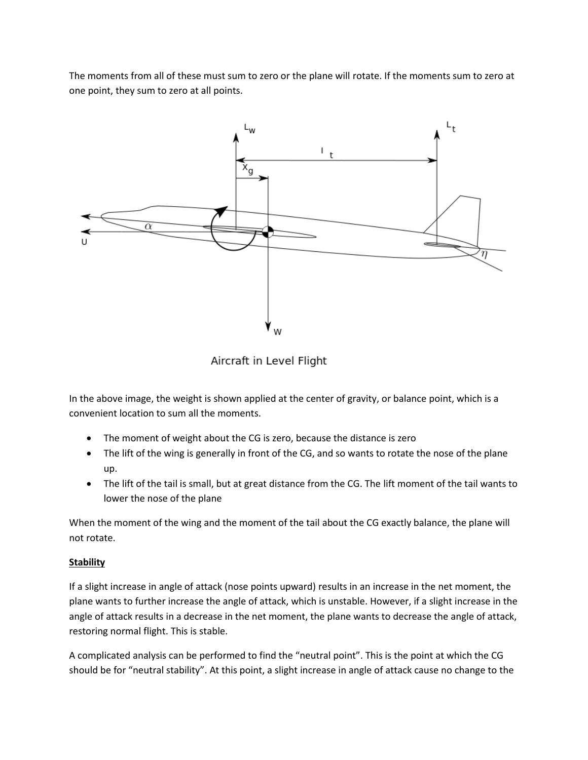The moments from all of these must sum to zero or the plane will rotate. If the moments sum to zero at one point, they sum to zero at all points.



Aircraft in Level Flight

In the above image, the weight is shown applied at the center of gravity, or balance point, which is a convenient location to sum all the moments.

- The moment of weight about the CG is zero, because the distance is zero
- The lift of the wing is generally in front of the CG, and so wants to rotate the nose of the plane up.
- The lift of the tail is small, but at great distance from the CG. The lift moment of the tail wants to lower the nose of the plane

When the moment of the wing and the moment of the tail about the CG exactly balance, the plane will not rotate.

## **Stability**

If a slight increase in angle of attack (nose points upward) results in an increase in the net moment, the plane wants to further increase the angle of attack, which is unstable. However, if a slight increase in the angle of attack results in a decrease in the net moment, the plane wants to decrease the angle of attack, restoring normal flight. This is stable.

A complicated analysis can be performed to find the "neutral point". This is the point at which the CG should be for "neutral stability". At this point, a slight increase in angle of attack cause no change to the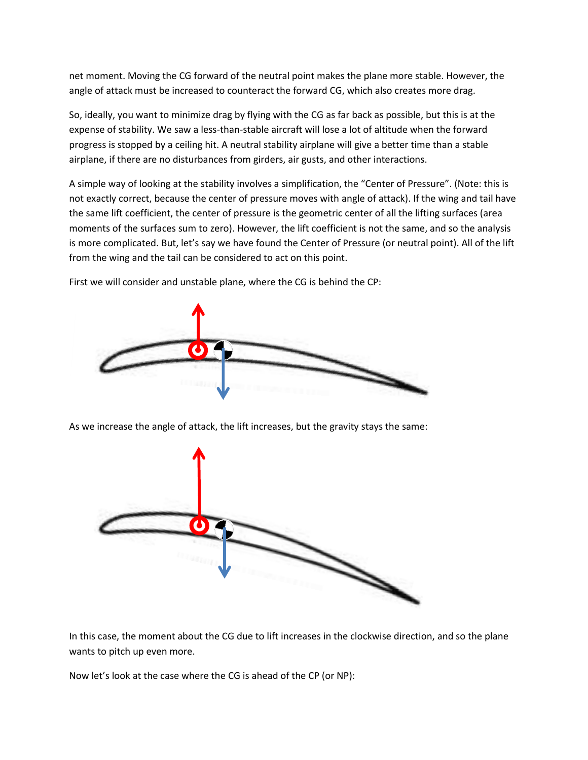net moment. Moving the CG forward of the neutral point makes the plane more stable. However, the angle of attack must be increased to counteract the forward CG, which also creates more drag.

So, ideally, you want to minimize drag by flying with the CG as far back as possible, but this is at the expense of stability. We saw a less-than-stable aircraft will lose a lot of altitude when the forward progress is stopped by a ceiling hit. A neutral stability airplane will give a better time than a stable airplane, if there are no disturbances from girders, air gusts, and other interactions.

A simple way of looking at the stability involves a simplification, the "Center of Pressure". (Note: this is not exactly correct, because the center of pressure moves with angle of attack). If the wing and tail have the same lift coefficient, the center of pressure is the geometric center of all the lifting surfaces (area moments of the surfaces sum to zero). However, the lift coefficient is not the same, and so the analysis is more complicated. But, let's say we have found the Center of Pressure (or neutral point). All of the lift from the wing and the tail can be considered to act on this point.



First we will consider and unstable plane, where the CG is behind the CP:

As we increase the angle of attack, the lift increases, but the gravity stays the same:



In this case, the moment about the CG due to lift increases in the clockwise direction, and so the plane wants to pitch up even more.

Now let's look at the case where the CG is ahead of the CP (or NP):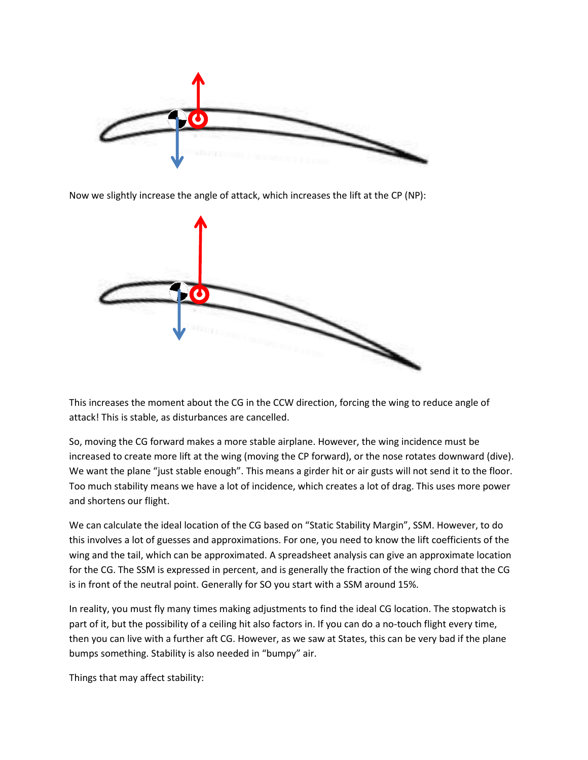

Now we slightly increase the angle of attack, which increases the lift at the CP (NP):



This increases the moment about the CG in the CCW direction, forcing the wing to reduce angle of attack! This is stable, as disturbances are cancelled.

So, moving the CG forward makes a more stable airplane. However, the wing incidence must be increased to create more lift at the wing (moving the CP forward), or the nose rotates downward (dive). We want the plane "just stable enough". This means a girder hit or air gusts will not send it to the floor. Too much stability means we have a lot of incidence, which creates a lot of drag. This uses more power and shortens our flight.

We can calculate the ideal location of the CG based on "Static Stability Margin", SSM. However, to do this involves a lot of guesses and approximations. For one, you need to know the lift coefficients of the wing and the tail, which can be approximated. A spreadsheet analysis can give an approximate location for the CG. The SSM is expressed in percent, and is generally the fraction of the wing chord that the CG is in front of the neutral point. Generally for SO you start with a SSM around 15%.

In reality, you must fly many times making adjustments to find the ideal CG location. The stopwatch is part of it, but the possibility of a ceiling hit also factors in. If you can do a no-touch flight every time, then you can live with a further aft CG. However, as we saw at States, this can be very bad if the plane bumps something. Stability is also needed in "bumpy" air.

Things that may affect stability: